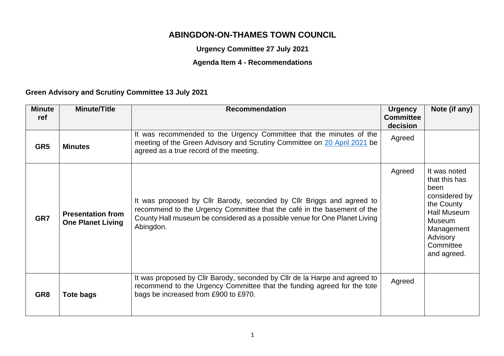## **ABINGDON-ON-THAMES TOWN COUNCIL**

**Urgency Committee 27 July 2021**

## **Agenda Item 4 - Recommendations**

**Green Advisory and Scrutiny Committee 13 July 2021**

| <b>Minute</b><br>ref | <b>Minute/Title</b>                                  | <b>Recommendation</b>                                                                                                                                                                                                                       | <b>Urgency</b><br><b>Committee</b><br>decision | Note (if any)                                                                                                                                              |
|----------------------|------------------------------------------------------|---------------------------------------------------------------------------------------------------------------------------------------------------------------------------------------------------------------------------------------------|------------------------------------------------|------------------------------------------------------------------------------------------------------------------------------------------------------------|
| GR <sub>5</sub>      | <b>Minutes</b>                                       | It was recommended to the Urgency Committee that the minutes of the<br>meeting of the Green Advisory and Scrutiny Committee on 20 April 2021 be<br>agreed as a true record of the meeting.                                                  | Agreed                                         |                                                                                                                                                            |
| GR7                  | <b>Presentation from</b><br><b>One Planet Living</b> | It was proposed by Cllr Barody, seconded by Cllr Briggs and agreed to<br>recommend to the Urgency Committee that the café in the basement of the<br>County Hall museum be considered as a possible venue for One Planet Living<br>Abingdon. | Agreed                                         | It was noted<br>that this has<br>been<br>considered by<br>the County<br>Hall Museum<br><b>Museum</b><br>Management<br>Advisory<br>Committee<br>and agreed. |
| GR8                  | <b>Tote bags</b>                                     | It was proposed by Cllr Barody, seconded by Cllr de la Harpe and agreed to<br>recommend to the Urgency Committee that the funding agreed for the tote<br>bags be increased from £900 to £970.                                               | Agreed                                         |                                                                                                                                                            |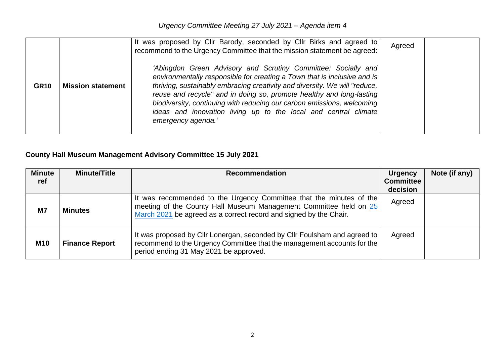|             |                          | It was proposed by Cllr Barody, seconded by Cllr Birks and agreed to<br>recommend to the Urgency Committee that the mission statement be agreed:                                                                                                                                                                                                                                                                                                                  | Agreed |  |
|-------------|--------------------------|-------------------------------------------------------------------------------------------------------------------------------------------------------------------------------------------------------------------------------------------------------------------------------------------------------------------------------------------------------------------------------------------------------------------------------------------------------------------|--------|--|
| <b>GR10</b> | <b>Mission statement</b> | 'Abingdon Green Advisory and Scrutiny Committee: Socially and<br>environmentally responsible for creating a Town that is inclusive and is<br>thriving, sustainably embracing creativity and diversity. We will "reduce,<br>reuse and recycle" and in doing so, promote healthy and long-lasting<br>biodiversity, continuing with reducing our carbon emissions, welcoming<br>ideas and innovation living up to the local and central climate<br>emergency agenda. |        |  |

## **County Hall Museum Management Advisory Committee 15 July 2021**

| <b>Minute</b><br>ref | <b>Minute/Title</b>   | <b>Recommendation</b>                                                                                                                                                                                         | <b>Urgency</b><br><b>Committee</b><br>decision | Note (if any) |
|----------------------|-----------------------|---------------------------------------------------------------------------------------------------------------------------------------------------------------------------------------------------------------|------------------------------------------------|---------------|
| <b>M7</b>            | <b>Minutes</b>        | It was recommended to the Urgency Committee that the minutes of the<br>meeting of the County Hall Museum Management Committee held on 25<br>March 2021 be agreed as a correct record and signed by the Chair. | Agreed                                         |               |
| <b>M10</b>           | <b>Finance Report</b> | It was proposed by CIIr Lonergan, seconded by CIIr Foulsham and agreed to<br>recommend to the Urgency Committee that the management accounts for the<br>period ending 31 May 2021 be approved.                | Agreed                                         |               |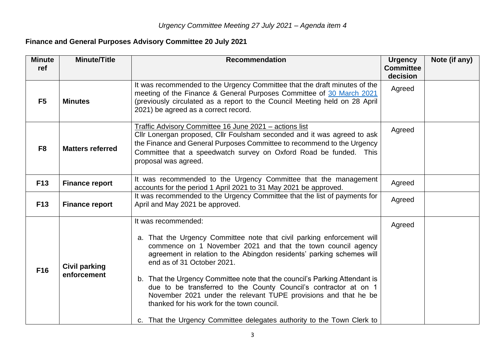## **Finance and General Purposes Advisory Committee 20 July 2021**

| <b>Minute</b><br>ref | <b>Minute/Title</b>                 | <b>Recommendation</b>                                                                                                                                                                                                                                                                                                                                                                                                                                                                                                                                                                                             | <b>Urgency</b><br><b>Committee</b><br>decision | Note (if any) |
|----------------------|-------------------------------------|-------------------------------------------------------------------------------------------------------------------------------------------------------------------------------------------------------------------------------------------------------------------------------------------------------------------------------------------------------------------------------------------------------------------------------------------------------------------------------------------------------------------------------------------------------------------------------------------------------------------|------------------------------------------------|---------------|
| F <sub>5</sub>       | <b>Minutes</b>                      | It was recommended to the Urgency Committee that the draft minutes of the<br>meeting of the Finance & General Purposes Committee of 30 March 2021<br>(previously circulated as a report to the Council Meeting held on 28 April<br>2021) be agreed as a correct record.                                                                                                                                                                                                                                                                                                                                           | Agreed                                         |               |
| F8                   | <b>Matters referred</b>             | Traffic Advisory Committee 16 June 2021 - actions list<br>Cllr Lonergan proposed, Cllr Foulsham seconded and it was agreed to ask<br>the Finance and General Purposes Committee to recommend to the Urgency<br>Committee that a speedwatch survey on Oxford Road be funded. This<br>proposal was agreed.                                                                                                                                                                                                                                                                                                          | Agreed                                         |               |
| <b>F13</b>           | <b>Finance report</b>               | It was recommended to the Urgency Committee that the management<br>accounts for the period 1 April 2021 to 31 May 2021 be approved.                                                                                                                                                                                                                                                                                                                                                                                                                                                                               | Agreed                                         |               |
| <b>F13</b>           | <b>Finance report</b>               | It was recommended to the Urgency Committee that the list of payments for<br>April and May 2021 be approved.                                                                                                                                                                                                                                                                                                                                                                                                                                                                                                      | Agreed                                         |               |
| <b>F16</b>           | <b>Civil parking</b><br>enforcement | It was recommended:<br>a. That the Urgency Committee note that civil parking enforcement will<br>commence on 1 November 2021 and that the town council agency<br>agreement in relation to the Abingdon residents' parking schemes will<br>end as of 31 October 2021.<br>b. That the Urgency Committee note that the council's Parking Attendant is<br>due to be transferred to the County Council's contractor at on 1<br>November 2021 under the relevant TUPE provisions and that he be<br>thanked for his work for the town council.<br>c. That the Urgency Committee delegates authority to the Town Clerk to | Agreed                                         |               |